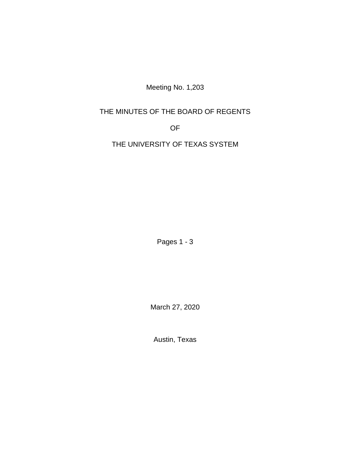Meeting No. 1,203

## THE MINUTES OF THE BOARD OF REGENTS

OF

THE UNIVERSITY OF TEXAS SYSTEM

Pages 1 - 3

March 27, 2020

Austin, Texas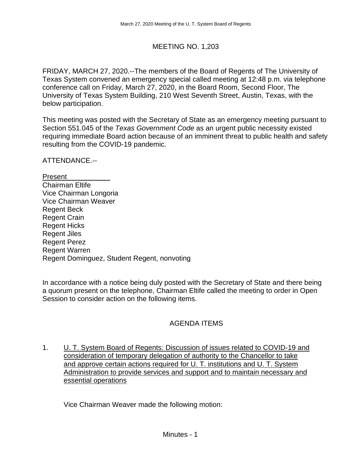## MEETING NO. 1,203

FRIDAY, MARCH 27, 2020.--The members of the Board of Regents of The University of Texas System convened an emergency special called meeting at 12:48 p.m. via telephone conference call on Friday, March 27, 2020, in the Board Room, Second Floor, The University of Texas System Building, 210 West Seventh Street, Austin, Texas, with the below participation.

This meeting was posted with the Secretary of State as an emergency meeting pursuant to Section 551.045 of the *Texas Government Code* as an urgent public necessity existed requiring immediate Board action because of an imminent threat to public health and safety resulting from the COVID-19 pandemic.

ATTENDANCE.--

Present Chairman Eltife Vice Chairman Longoria Vice Chairman Weaver Regent Beck Regent Crain Regent Hicks Regent Jiles Regent Perez Regent Warren Regent Dominguez, Student Regent, nonvoting

In accordance with a notice being duly posted with the Secretary of State and there being a quorum present on the telephone, Chairman Eltife called the meeting to order in Open Session to consider action on the following items.

## AGENDA ITEMS

1. U. T. System Board of Regents: Discussion of issues related to COVID-19 and consideration of temporary delegation of authority to the Chancellor to take and approve certain actions required for U. T. institutions and U. T. System Administration to provide services and support and to maintain necessary and essential operations

Vice Chairman Weaver made the following motion: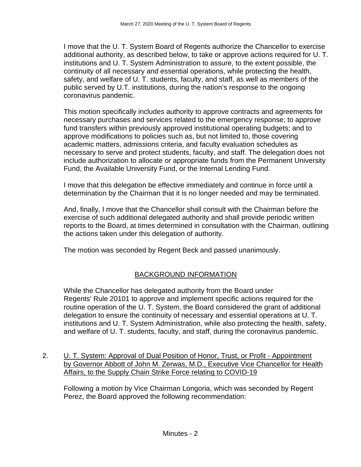I move that the U. T. System Board of Regents authorize the Chancellor to exercise additional authority, as described below, to take or approve actions required for U. T. institutions and U. T. System Administration to assure, to the extent possible, the continuity of all necessary and essential operations, while protecting the health, safety, and welfare of U. T. students, faculty, and staff, as well as members of the public served by U.T. institutions, during the nation's response to the ongoing coronavirus pandemic.

This motion specifically includes authority to approve contracts and agreements for necessary purchases and services related to the emergency response; to approve fund transfers within previously approved institutional operating budgets; and to approve modifications to policies such as, but not limited to, those covering academic matters, admissions criteria, and faculty evaluation schedules as necessary to serve and protect students, faculty, and staff. The delegation does not include authorization to allocate or appropriate funds from the Permanent University Fund, the Available University Fund, or the Internal Lending Fund.

I move that this delegation be effective immediately and continue in force until a determination by the Chairman that it is no longer needed and may be terminated.

And, finally, I move that the Chancellor shall consult with the Chairman before the exercise of such additional delegated authority and shall provide periodic written reports to the Board, at times determined in consultation with the Chairman, outlining the actions taken under this delegation of authority.

The motion was seconded by Regent Beck and passed unanimously.

# BACKGROUND INFORMATION

While the Chancellor has delegated authority from the Board under Regents' Rule 20101 to approve and implement specific actions required for the routine operation of the U. T. System, the Board considered the grant of additional delegation to ensure the continuity of necessary and essential operations at U. T. institutions and U. T. System Administration, while also protecting the health, safety, and welfare of U. T. students, faculty, and staff, during the coronavirus pandemic.

2. U. T. System: Approval of Dual Position of Honor, Trust, or Profit - Appointment by Governor Abbott of John M. Zerwas, M.D., Executive Vice Chancellor for Health Affairs, to the Supply Chain Strike Force relating to COVID-19

Following a motion by Vice Chairman Longoria, which was seconded by Regent Perez, the Board approved the following recommendation: